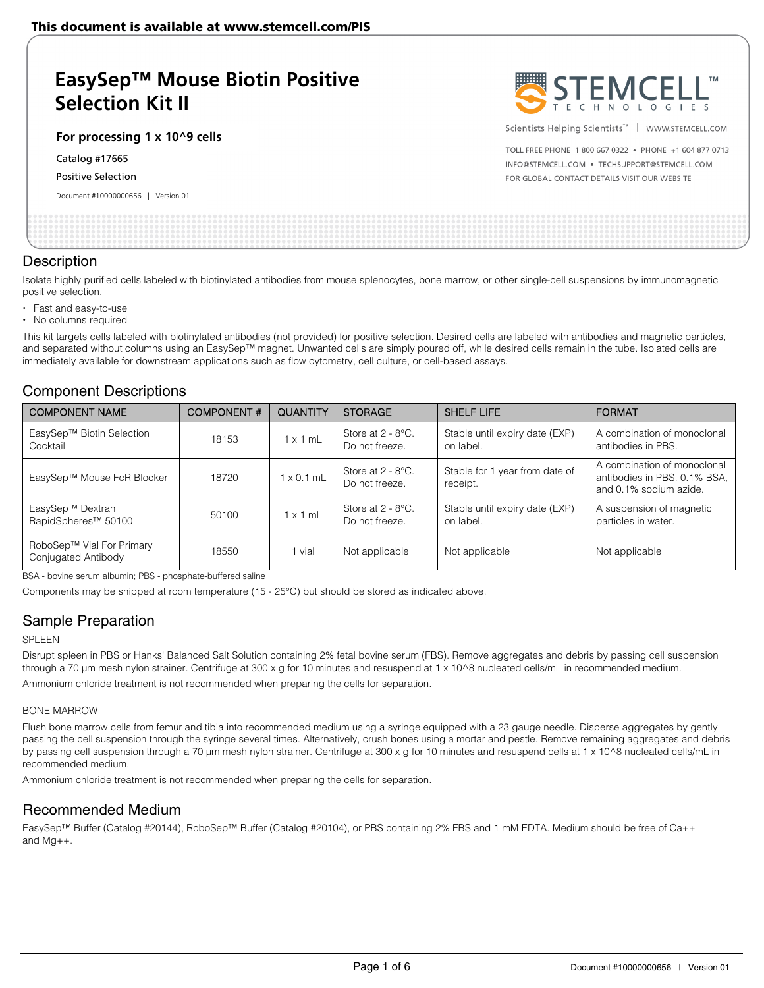# **EasySep™ Mouse Biotin Positive Selection Kit II**

### **For processing 1 x 10^9 cells**

Catalog #17665

#### Positive Selection

Document #10000000656 | Version 01



Scientists Helping Scientists<sup>™</sup> | WWW.STEMCELL.COM

TOLL FREE PHONE 1 800 667 0322 . PHONE +1 604 877 0713 INFO@STEMCELL.COM . TECHSUPPORT@STEMCELL.COM FOR GLOBAL CONTACT DETAILS VISIT OUR WEBSITE

## **Description**

Isolate highly purified cells labeled with biotinylated antibodies from mouse splenocytes, bone marrow, or other single-cell suspensions by immunomagnetic positive selection.

- Fast and easy-to-use
- No columns required

This kit targets cells labeled with biotinylated antibodies (not provided) for positive selection. Desired cells are labeled with antibodies and magnetic particles, and separated without columns using an EasySep™ magnet. Unwanted cells are simply poured off, while desired cells remain in the tube. Isolated cells are immediately available for downstream applications such as flow cytometry, cell culture, or cell-based assays.

## Component Descriptions

| <b>COMPONENT NAME</b>                               | <b>COMPONENT#</b> | <b>QUANTITY</b>   | <b>STORAGE</b>                         | <b>SHELF LIFE</b>                           | <b>FORMAT</b>                                                                         |
|-----------------------------------------------------|-------------------|-------------------|----------------------------------------|---------------------------------------------|---------------------------------------------------------------------------------------|
| EasySep™ Biotin Selection<br>Cocktail               | 18153             | $1 \times 1$ mL   | Store at $2 - 8$ °C.<br>Do not freeze. | Stable until expiry date (EXP)<br>on label. | A combination of monoclonal<br>antibodies in PBS.                                     |
| EasySep™ Mouse FcR Blocker                          | 18720             | $1 \times 0.1$ mL | Store at $2 - 8$ °C.<br>Do not freeze. | Stable for 1 year from date of<br>receipt.  | A combination of monoclonal<br>antibodies in PBS, 0.1% BSA,<br>and 0.1% sodium azide. |
| EasySep™ Dextran<br>RapidSpheres <sup>™</sup> 50100 | 50100             | $1 \times 1$ mL   | Store at $2 - 8$ °C.<br>Do not freeze. | Stable until expiry date (EXP)<br>on label. | A suspension of magnetic<br>particles in water.                                       |
| RoboSep™ Vial For Primary<br>Conjugated Antibody    | 18550             | 1 vial            | Not applicable                         | Not applicable                              | Not applicable                                                                        |

BSA - bovine serum albumin; PBS - phosphate-buffered saline

Components may be shipped at room temperature (15 - 25°C) but should be stored as indicated above.

## Sample Preparation

### SPLEEN

Disrupt spleen in PBS or Hanks' Balanced Salt Solution containing 2% fetal bovine serum (FBS). Remove aggregates and debris by passing cell suspension through a 70 µm mesh nylon strainer. Centrifuge at 300 x g for 10 minutes and resuspend at 1 x 10^8 nucleated cells/mL in recommended medium. Ammonium chloride treatment is not recommended when preparing the cells for separation.

#### BONE MARROW

Flush bone marrow cells from femur and tibia into recommended medium using a syringe equipped with a 23 gauge needle. Disperse aggregates by gently passing the cell suspension through the syringe several times. Alternatively, crush bones using a mortar and pestle. Remove remaining aggregates and debris by passing cell suspension through a 70 μm mesh nylon strainer. Centrifuge at 300 x g for 10 minutes and resuspend cells at 1 x 10^8 nucleated cells/mL in recommended medium.

Ammonium chloride treatment is not recommended when preparing the cells for separation.

## Recommended Medium

EasySep™ Buffer (Catalog #20144), RoboSep™ Buffer (Catalog #20104), or PBS containing 2% FBS and 1 mM EDTA. Medium should be free of Ca++ and Mg++.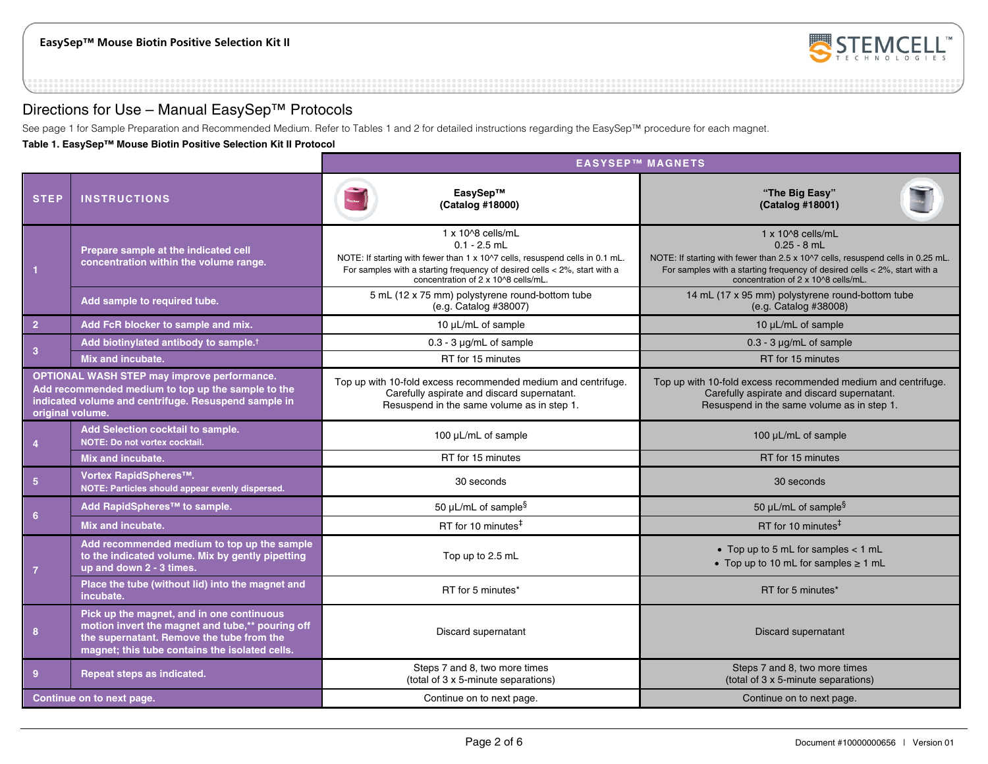

## Directions for Use – Manual EasySep™ Protocols

See page 1 for Sample Preparation and Recommended Medium. Refer to Tables 1 and 2 for detailed instructions regarding the EasySep™ procedure for each magnet.

**Table 1. EasySep™ Mouse Biotin Positive Selection Kit II Protocol** 

|                                                                                                                                                                                      |                                                                                                                                                                                              | <b>EASYSEP™ MAGNETS</b>                                                                                                                                                                                                                            |                                                                                                                                                                                                                                                      |  |
|--------------------------------------------------------------------------------------------------------------------------------------------------------------------------------------|----------------------------------------------------------------------------------------------------------------------------------------------------------------------------------------------|----------------------------------------------------------------------------------------------------------------------------------------------------------------------------------------------------------------------------------------------------|------------------------------------------------------------------------------------------------------------------------------------------------------------------------------------------------------------------------------------------------------|--|
| <b>STEP</b>                                                                                                                                                                          | <b>INSTRUCTIONS</b>                                                                                                                                                                          | EasySep™<br>(Catalog #18000)                                                                                                                                                                                                                       | "The Big Easy"<br>(Catalog #18001)                                                                                                                                                                                                                   |  |
|                                                                                                                                                                                      | Prepare sample at the indicated cell<br>concentration within the volume range.                                                                                                               | $1 \times 10^{8}$ cells/mL<br>$0.1 - 2.5$ mL<br>NOTE: If starting with fewer than 1 x 10^7 cells, resuspend cells in 0.1 mL.<br>For samples with a starting frequency of desired cells $<$ 2%, start with a<br>concentration of 2 x 10^8 cells/mL. | $1 \times 10^{8}$ cells/mL<br>$0.25 - 8$ mL<br>NOTE: If starting with fewer than 2.5 x 10^7 cells, resuspend cells in 0.25 mL.<br>For samples with a starting frequency of desired cells $<$ 2%, start with a<br>concentration of 2 x 10^8 cells/mL. |  |
|                                                                                                                                                                                      | Add sample to required tube.                                                                                                                                                                 | 5 mL (12 x 75 mm) polystyrene round-bottom tube<br>(e.g. Catalog #38007)                                                                                                                                                                           | 14 mL (17 x 95 mm) polystyrene round-bottom tube<br>(e.g. Catalog #38008)                                                                                                                                                                            |  |
| 2 <sup>1</sup>                                                                                                                                                                       | Add FcR blocker to sample and mix.                                                                                                                                                           | 10 µL/mL of sample                                                                                                                                                                                                                                 | 10 µL/mL of sample                                                                                                                                                                                                                                   |  |
| 3                                                                                                                                                                                    | Add biotinylated antibody to sample. <sup>†</sup>                                                                                                                                            | $0.3 - 3 \mu g/mL$ of sample                                                                                                                                                                                                                       | $0.3 - 3 \mu g/mL$ of sample                                                                                                                                                                                                                         |  |
|                                                                                                                                                                                      | Mix and incubate.                                                                                                                                                                            | RT for 15 minutes                                                                                                                                                                                                                                  | RT for 15 minutes                                                                                                                                                                                                                                    |  |
| <b>OPTIONAL WASH STEP may improve performance.</b><br>Add recommended medium to top up the sample to the<br>indicated volume and centrifuge. Resuspend sample in<br>original volume. |                                                                                                                                                                                              | Top up with 10-fold excess recommended medium and centrifuge.<br>Carefully aspirate and discard supernatant.<br>Resuspend in the same volume as in step 1.                                                                                         | Top up with 10-fold excess recommended medium and centrifuge.<br>Carefully aspirate and discard supernatant.<br>Resuspend in the same volume as in step 1.                                                                                           |  |
| $\overline{4}$                                                                                                                                                                       | Add Selection cocktail to sample.<br>NOTE: Do not vortex cocktail.                                                                                                                           | 100 µL/mL of sample                                                                                                                                                                                                                                | 100 µL/mL of sample                                                                                                                                                                                                                                  |  |
|                                                                                                                                                                                      | Mix and incubate.                                                                                                                                                                            | RT for 15 minutes                                                                                                                                                                                                                                  | RT for 15 minutes                                                                                                                                                                                                                                    |  |
| $5\phantom{.0}$                                                                                                                                                                      | Vortex RapidSpheres™.<br>NOTE: Particles should appear evenly dispersed.                                                                                                                     | 30 seconds                                                                                                                                                                                                                                         | 30 seconds                                                                                                                                                                                                                                           |  |
|                                                                                                                                                                                      | Add RapidSpheres™ to sample.                                                                                                                                                                 | 50 µL/mL of sample <sup>§</sup>                                                                                                                                                                                                                    | 50 µL/mL of sample $\S$                                                                                                                                                                                                                              |  |
| 6 <sup>5</sup>                                                                                                                                                                       | Mix and incubate.                                                                                                                                                                            | RT for 10 minutes <sup>#</sup>                                                                                                                                                                                                                     | RT for 10 minutes <sup>#</sup>                                                                                                                                                                                                                       |  |
| $\overline{7}$                                                                                                                                                                       | Add recommended medium to top up the sample<br>to the indicated volume. Mix by gently pipetting<br>up and down 2 - 3 times.                                                                  | Top up to 2.5 mL                                                                                                                                                                                                                                   | • Top up to 5 mL for samples $<$ 1 mL<br>• Top up to 10 mL for samples $\geq 1$ mL                                                                                                                                                                   |  |
|                                                                                                                                                                                      | Place the tube (without lid) into the magnet and<br>incubate.                                                                                                                                | RT for 5 minutes*                                                                                                                                                                                                                                  | RT for 5 minutes*                                                                                                                                                                                                                                    |  |
| 8                                                                                                                                                                                    | Pick up the magnet, and in one continuous<br>motion invert the magnet and tube,** pouring off<br>the supernatant. Remove the tube from the<br>magnet; this tube contains the isolated cells. | Discard supernatant                                                                                                                                                                                                                                | <b>Discard supernatant</b>                                                                                                                                                                                                                           |  |
| 9                                                                                                                                                                                    | Repeat steps as indicated.                                                                                                                                                                   | Steps 7 and 8, two more times<br>(total of 3 x 5-minute separations)                                                                                                                                                                               | Steps 7 and 8, two more times<br>(total of 3 x 5-minute separations)                                                                                                                                                                                 |  |
|                                                                                                                                                                                      | Continue on to next page.                                                                                                                                                                    | Continue on to next page.                                                                                                                                                                                                                          | Continue on to next page.                                                                                                                                                                                                                            |  |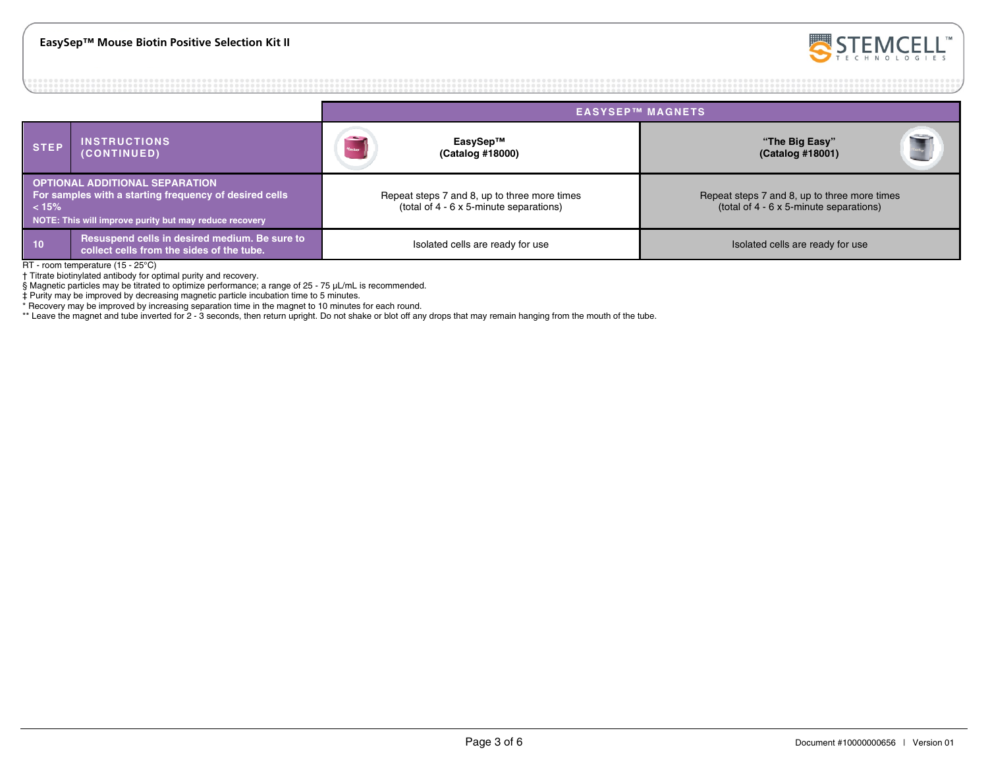

|                                                                                                                                                                            |                                                                                            | <b>EASYSEP™ MAGNETS</b>                                                                 |                                                                                         |  |  |
|----------------------------------------------------------------------------------------------------------------------------------------------------------------------------|--------------------------------------------------------------------------------------------|-----------------------------------------------------------------------------------------|-----------------------------------------------------------------------------------------|--|--|
| <b>STEP</b>                                                                                                                                                                | <b>INSTRUCTIONS</b><br>(CONTINUED)                                                         | EasySep™<br>(Catalog #18000)                                                            | "The Big Easy"<br>(Catalog #18001)                                                      |  |  |
| <b>OPTIONAL ADDITIONAL SEPARATION</b><br>For samples with a starting frequency of desired cells<br>$\vert$ < 15%<br>NOTE: This will improve purity but may reduce recovery |                                                                                            | Repeat steps 7 and 8, up to three more times<br>(total of 4 - 6 x 5-minute separations) | Repeat steps 7 and 8, up to three more times<br>(total of 4 - 6 x 5-minute separations) |  |  |
| $ 10\rangle$                                                                                                                                                               | Resuspend cells in desired medium. Be sure to<br>collect cells from the sides of the tube. | Isolated cells are ready for use                                                        | Isolated cells are ready for use                                                        |  |  |

RT - room temperature (15 - 25°C)

† Titrate biotinylated antibody for optimal purity and recovery.

§ Magnetic particles may be titrated to optimize performance; a range of 25 - 75 μL/mL is recommended.

‡ Purity may be improved by decreasing magnetic particle incubation time to 5 minutes.

\* Recovery may be improved by increasing separation time in the magnet to 10 minutes for each round.

\*\* Leave the magnet and tube inverted for 2 - 3 seconds, then return upright. Do not shake or blot off any drops that may remain hanging from the mouth of the tube.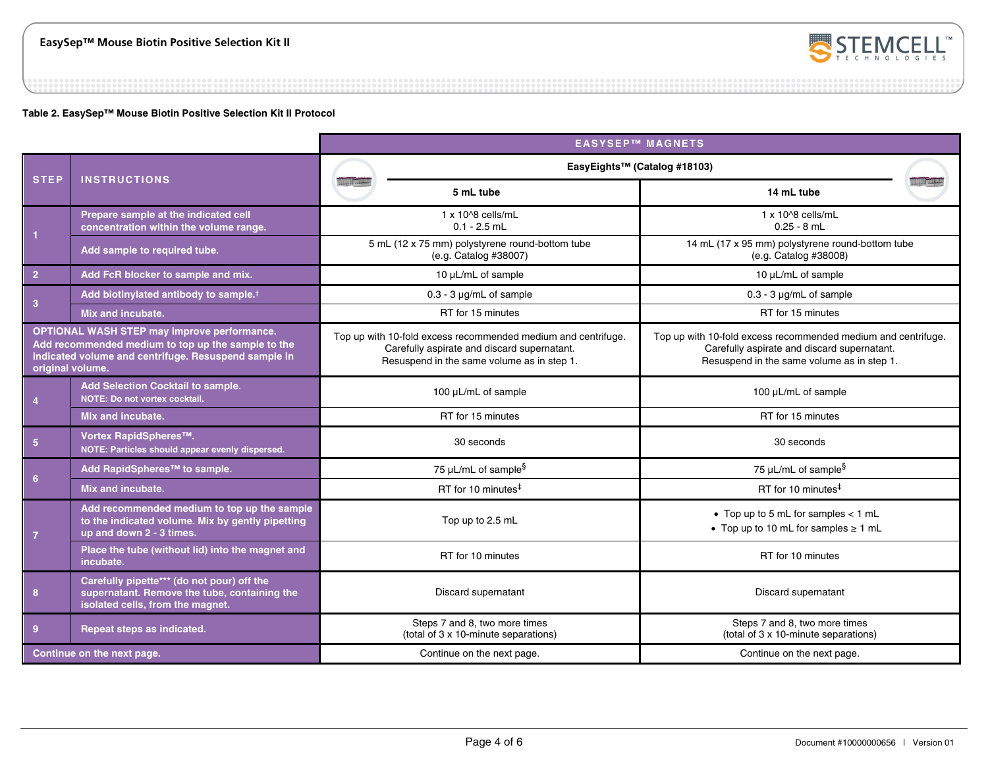

### **Table 2. EasySep™ Mouse Biotin Positive Selection Kit II Protocol**

|                                                                                                                                                                                      |                                                                                                                                | <b>EASYSEP™ MAGNETS</b>                                                                                                                                    |                                                                                                                                                            |  |  |  |
|--------------------------------------------------------------------------------------------------------------------------------------------------------------------------------------|--------------------------------------------------------------------------------------------------------------------------------|------------------------------------------------------------------------------------------------------------------------------------------------------------|------------------------------------------------------------------------------------------------------------------------------------------------------------|--|--|--|
|                                                                                                                                                                                      | <b>INSTRUCTIONS</b>                                                                                                            | EasyEights™ (Catalog #18103)                                                                                                                               |                                                                                                                                                            |  |  |  |
| <b>STEP</b>                                                                                                                                                                          |                                                                                                                                | 5 mL tube                                                                                                                                                  | 14 mL tube                                                                                                                                                 |  |  |  |
| $\overline{1}$                                                                                                                                                                       | Prepare sample at the indicated cell<br>concentration within the volume range.                                                 | $1 \times 10^{8}$ cells/mL<br>$0.1 - 2.5$ mL                                                                                                               | $1 \times 10^{8}$ cells/mL<br>$0.25 - 8$ mL                                                                                                                |  |  |  |
|                                                                                                                                                                                      | Add sample to required tube.                                                                                                   | 5 mL (12 x 75 mm) polystyrene round-bottom tube<br>(e.g. Catalog #38007)                                                                                   | 14 mL (17 x 95 mm) polystyrene round-bottom tube<br>(e.g. Catalog #38008)                                                                                  |  |  |  |
| 2 <sup>1</sup>                                                                                                                                                                       | Add FcR blocker to sample and mix.                                                                                             | 10 µL/mL of sample                                                                                                                                         | 10 µL/mL of sample                                                                                                                                         |  |  |  |
| $\mathbf{3}$                                                                                                                                                                         | Add biotinylated antibody to sample. <sup>†</sup>                                                                              | $0.3 - 3 \mu g/mL$ of sample                                                                                                                               | $0.3 - 3$ µg/mL of sample                                                                                                                                  |  |  |  |
|                                                                                                                                                                                      | Mix and incubate.                                                                                                              | RT for 15 minutes                                                                                                                                          | RT for 15 minutes                                                                                                                                          |  |  |  |
| <b>OPTIONAL WASH STEP may improve performance.</b><br>Add recommended medium to top up the sample to the<br>indicated volume and centrifuge. Resuspend sample in<br>original volume. |                                                                                                                                | Top up with 10-fold excess recommended medium and centrifuge.<br>Carefully aspirate and discard supernatant.<br>Resuspend in the same volume as in step 1. | Top up with 10-fold excess recommended medium and centrifuge.<br>Carefully aspirate and discard supernatant.<br>Resuspend in the same volume as in step 1. |  |  |  |
| Add Selection Cocktail to sample.<br>NOTE: Do not vortex cocktail.<br>$\overline{4}$                                                                                                 |                                                                                                                                | 100 µL/mL of sample                                                                                                                                        | 100 µL/mL of sample                                                                                                                                        |  |  |  |
|                                                                                                                                                                                      | Mix and incubate.                                                                                                              | RT for 15 minutes                                                                                                                                          | RT for 15 minutes                                                                                                                                          |  |  |  |
| $5\phantom{.0}$                                                                                                                                                                      | Vortex RapidSpheres™.<br>NOTE: Particles should appear evenly dispersed.                                                       | 30 seconds                                                                                                                                                 | 30 seconds                                                                                                                                                 |  |  |  |
| 6 <sup>6</sup>                                                                                                                                                                       | Add RapidSpheres™ to sample.                                                                                                   | 75 µL/mL of sample $\S$                                                                                                                                    | 75 µL/mL of sample <sup>§</sup>                                                                                                                            |  |  |  |
|                                                                                                                                                                                      | Mix and incubate.                                                                                                              | RT for 10 minutes <sup>#</sup>                                                                                                                             | RT for 10 minutes <sup>#</sup>                                                                                                                             |  |  |  |
| $\overline{7}$                                                                                                                                                                       | Add recommended medium to top up the sample<br>to the indicated volume. Mix by gently pipetting<br>up and down 2 - 3 times.    | Top up to 2.5 mL                                                                                                                                           | • Top up to 5 mL for samples $<$ 1 mL<br>• Top up to 10 mL for samples $\geq 1$ mL                                                                         |  |  |  |
|                                                                                                                                                                                      | Place the tube (without lid) into the magnet and<br>incubate.                                                                  | RT for 10 minutes                                                                                                                                          | RT for 10 minutes                                                                                                                                          |  |  |  |
| 8                                                                                                                                                                                    | Carefully pipette*** (do not pour) off the<br>supernatant. Remove the tube, containing the<br>isolated cells, from the magnet. | Discard supernatant                                                                                                                                        | Discard supernatant                                                                                                                                        |  |  |  |
| 9                                                                                                                                                                                    | Repeat steps as indicated.                                                                                                     | Steps 7 and 8, two more times<br>(total of 3 x 10-minute separations)                                                                                      | Steps 7 and 8, two more times<br>(total of 3 x 10-minute separations)                                                                                      |  |  |  |
| Continue on the next page.                                                                                                                                                           |                                                                                                                                | Continue on the next page.                                                                                                                                 | Continue on the next page.                                                                                                                                 |  |  |  |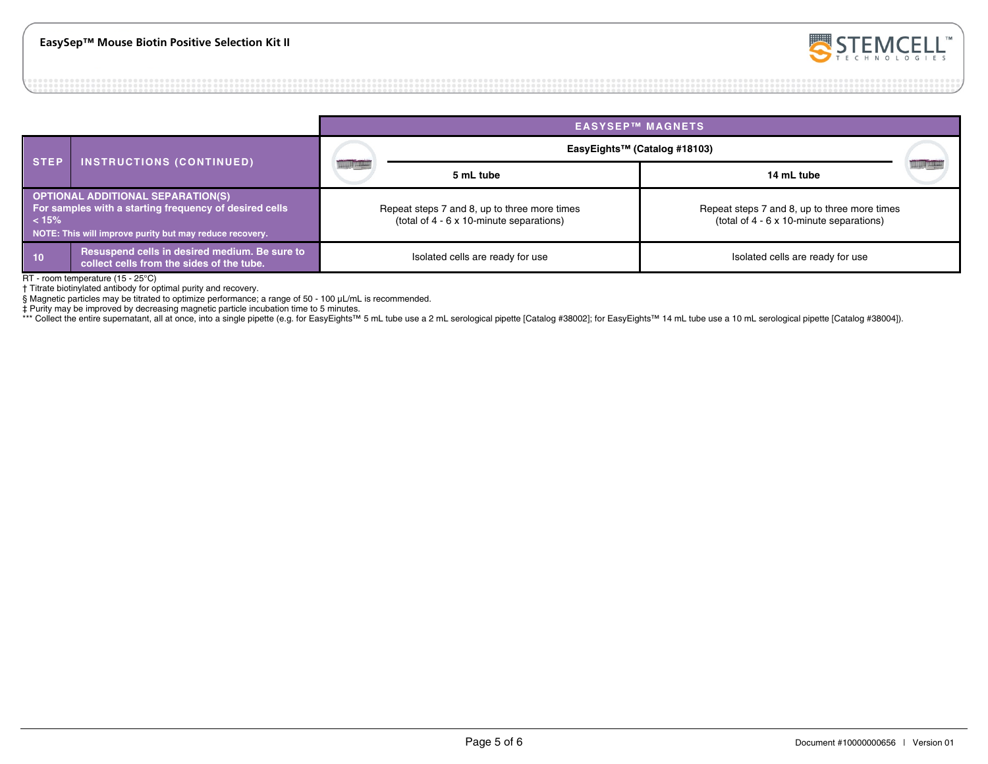

#### **EASYSEP™ MAGNETS STEP INSTRUCTIONS (CONTINUED) EasyEights™ (Catalog #18103) 5 mL tube 14 mL tube OPTIONAL ADDITIONAL SEPARATION(S) For samples with a starting frequency of desired cells < 15% NOTE: This will improve purity but may reduce recovery.** Repeat steps 7 and 8, up to three more times (total of 4 - 6 x 10-minute separations) Repeat steps 7 and 8, up to three more times (total of 4 - 6 x 10-minute separations) **10** Resuspend cells in desired medium. Be sure to collect cells are ready for use **Isolated cells are ready for use** Isolated cells are ready for use Isolated cells are ready for use Isolated cells are ready for use colle

RT - room temperature (15 - 25°C)

† Titrate biotinylated antibody for optimal purity and recovery.

§ Magnetic particles may be titrated to optimize performance; a range of 50 - 100 μL/mL is recommended.

‡ Purity may be improved by decreasing magnetic particle incubation time to 5 minutes.

\*\*\* Collect the entire supernatant, all at once, into a single pipette (e.g. for EasyEights™ 5 mL tube use a 2 mL serological pipette [Catalog #38002]; for EasyEights™ 14 mL tube use a 10 mL serological pipette [Catalog #3